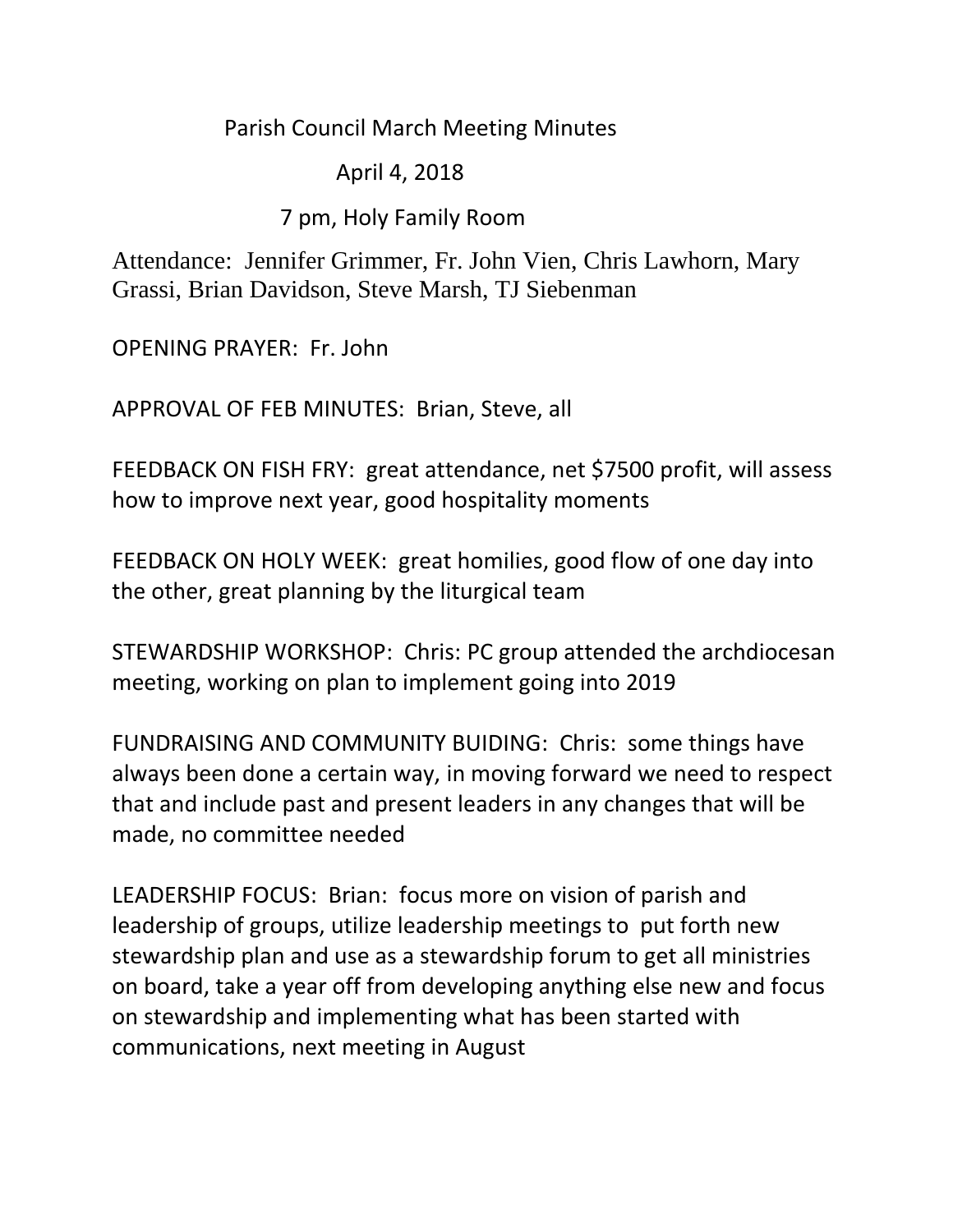Parish Council March Meeting Minutes

April 4, 2018

7 pm, Holy Family Room

Attendance: Jennifer Grimmer, Fr. John Vien, Chris Lawhorn, Mary Grassi, Brian Davidson, Steve Marsh, TJ Siebenman

OPENING PRAYER: Fr. John

APPROVAL OF FEB MINUTES: Brian, Steve, all

FEEDBACK ON FISH FRY: great attendance, net \$7500 profit, will assess how to improve next year, good hospitality moments

FEEDBACK ON HOLY WEEK: great homilies, good flow of one day into the other, great planning by the liturgical team

STEWARDSHIP WORKSHOP: Chris: PC group attended the archdiocesan meeting, working on plan to implement going into 2019

FUNDRAISING AND COMMUNITY BUIDING: Chris: some things have always been done a certain way, in moving forward we need to respect that and include past and present leaders in any changes that will be made, no committee needed

LEADERSHIP FOCUS: Brian: focus more on vision of parish and leadership of groups, utilize leadership meetings to put forth new stewardship plan and use as a stewardship forum to get all ministries on board, take a year off from developing anything else new and focus on stewardship and implementing what has been started with communications, next meeting in August